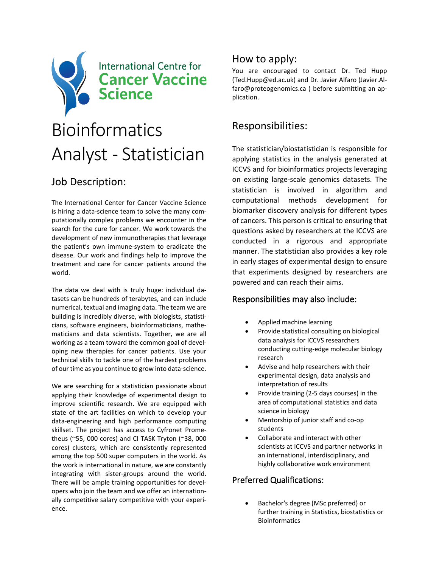

# Analyst - Statistician

# Job Description:

The International Center for Cancer Vaccine Science is hiring a data-science team to solve the many computationally complex problems we encounter in the search for the cure for cancer. We work towards the development of new immunotherapies that leverage the patient's own immune-system to eradicate the disease. Our work and findings help to improve the treatment and care for cancer patients around the world.

The data we deal with is truly huge: individual datasets can be hundreds of terabytes, and can include numerical, textual and imaging data. The team we are building is incredibly diverse, with biologists, statisticians, software engineers, bioinformaticians, mathematicians and data scientists. Together, we are all working as a team toward the common goal of developing new therapies for cancer patients. Use your technical skills to tackle one of the hardest problems of our time as you continue to grow into data-science.

We are searching for a statistician passionate about applying their knowledge of experimental design to improve scientific research. We are equipped with state of the art facilities on which to develop your data-engineering and high performance computing skillset. The project has access to Cyfronet Prometheus (~55, 000 cores) and CI TASK Tryton (~38, 000 cores) clusters, which are consistently represented among the top 500 super computers in the world. As the work is international in nature, we are constantly integrating with sister-groups around the world. There will be ample training opportunities for developers who join the team and we offer an internationally competitive salary competitive with your experience.

## How to apply:

You are encouraged to contact Dr. Ted Hupp (Ted.Hupp@ed.ac.uk) and Dr. Javier Alfaro (Javier.Alfaro@proteogenomics.ca ) before submitting an application.

## Responsibilities:

The statistician/biostatistician is responsible for applying statistics in the analysis generated at ICCVS and for bioinformatics projects leveraging on existing large-scale genomics datasets. The statistician is involved in algorithm and computational methods development for biomarker discovery analysis for different types of cancers. This person is critical to ensuring that questions asked by researchers at the ICCVS are conducted in a rigorous and appropriate manner. The statistician also provides a key role in early stages of experimental design to ensure that experiments designed by researchers are powered and can reach their aims.

#### Responsibilities may also include:

- Applied machine learning
- Provide statistical consulting on biological data analysis for ICCVS researchers conducting cutting-edge molecular biology research
- Advise and help researchers with their experimental design, data analysis and interpretation of results
- Provide training (2-5 days courses) in the area of computational statistics and data science in biology
- Mentorship of junior staff and co-op students
- Collaborate and interact with other scientists at ICCVS and partner networks in an international, interdisciplinary, and highly collaborative work environment

#### Preferred Qualifications:

• Bachelor's degree (MSc preferred) or further training in Statistics, biostatistics or Bioinformatics